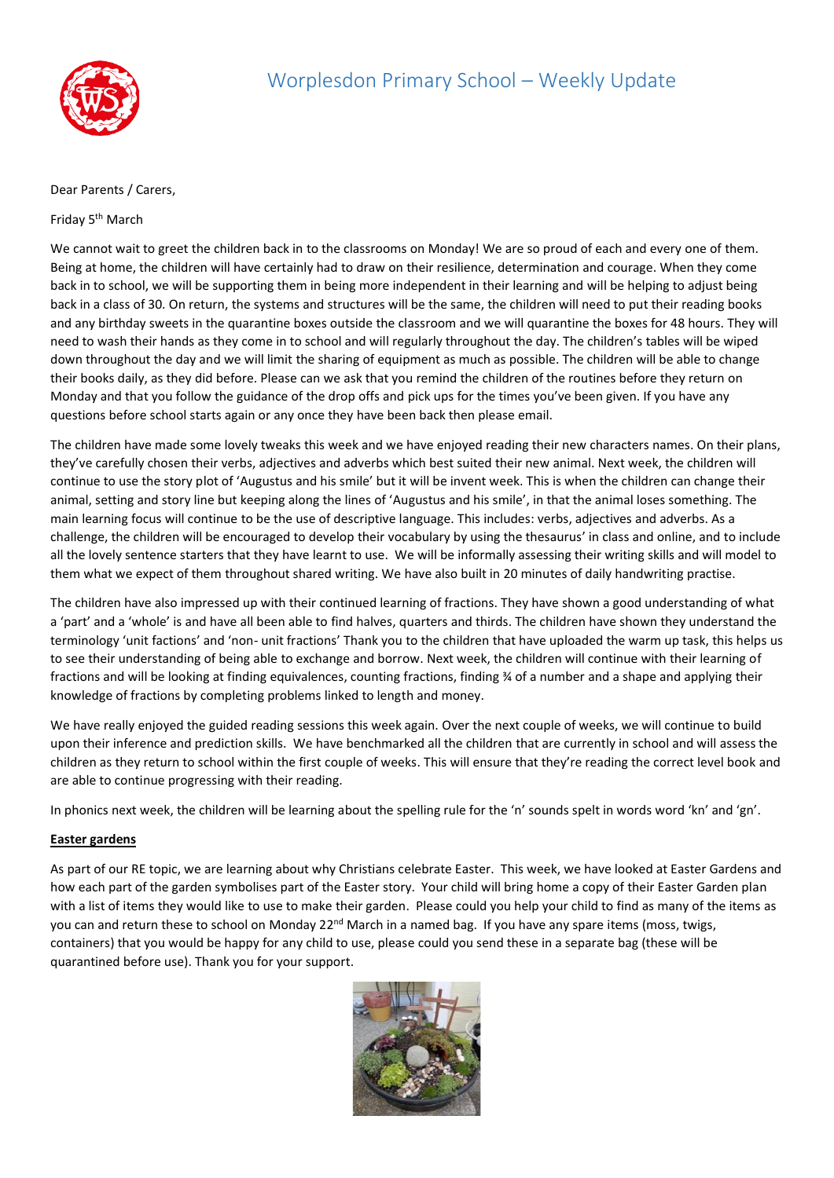

## Dear Parents / Carers,

## Friday 5<sup>th</sup> March

We cannot wait to greet the children back in to the classrooms on Monday! We are so proud of each and every one of them. Being at home, the children will have certainly had to draw on their resilience, determination and courage. When they come back in to school, we will be supporting them in being more independent in their learning and will be helping to adjust being back in a class of 30. On return, the systems and structures will be the same, the children will need to put their reading books and any birthday sweets in the quarantine boxes outside the classroom and we will quarantine the boxes for 48 hours. They will need to wash their hands as they come in to school and will regularly throughout the day. The children's tables will be wiped down throughout the day and we will limit the sharing of equipment as much as possible. The children will be able to change their books daily, as they did before. Please can we ask that you remind the children of the routines before they return on Monday and that you follow the guidance of the drop offs and pick ups for the times you've been given. If you have any questions before school starts again or any once they have been back then please email.

The children have made some lovely tweaks this week and we have enjoyed reading their new characters names. On their plans, they've carefully chosen their verbs, adjectives and adverbs which best suited their new animal. Next week, the children will continue to use the story plot of 'Augustus and his smile' but it will be invent week. This is when the children can change their animal, setting and story line but keeping along the lines of 'Augustus and his smile', in that the animal loses something. The main learning focus will continue to be the use of descriptive language. This includes: verbs, adjectives and adverbs. As a challenge, the children will be encouraged to develop their vocabulary by using the thesaurus' in class and online, and to include all the lovely sentence starters that they have learnt to use. We will be informally assessing their writing skills and will model to them what we expect of them throughout shared writing. We have also built in 20 minutes of daily handwriting practise.

The children have also impressed up with their continued learning of fractions. They have shown a good understanding of what a 'part' and a 'whole' is and have all been able to find halves, quarters and thirds. The children have shown they understand the terminology 'unit factions' and 'non- unit fractions' Thank you to the children that have uploaded the warm up task, this helps us to see their understanding of being able to exchange and borrow. Next week, the children will continue with their learning of fractions and will be looking at finding equivalences, counting fractions, finding ¾ of a number and a shape and applying their knowledge of fractions by completing problems linked to length and money.

We have really enjoyed the guided reading sessions this week again. Over the next couple of weeks, we will continue to build upon their inference and prediction skills. We have benchmarked all the children that are currently in school and will assess the children as they return to school within the first couple of weeks. This will ensure that they're reading the correct level book and are able to continue progressing with their reading.

In phonics next week, the children will be learning about the spelling rule for the 'n' sounds spelt in words word 'kn' and 'gn'.

## **Easter gardens**

As part of our RE topic, we are learning about why Christians celebrate Easter. This week, we have looked at Easter Gardens and how each part of the garden symbolises part of the Easter story. Your child will bring home a copy of their Easter Garden plan with a list of items they would like to use to make their garden. Please could you help your child to find as many of the items as you can and return these to school on Monday 22<sup>nd</sup> March in a named bag. If you have any spare items (moss, twigs, containers) that you would be happy for any child to use, please could you send these in a separate bag (these will be quarantined before use). Thank you for your support.